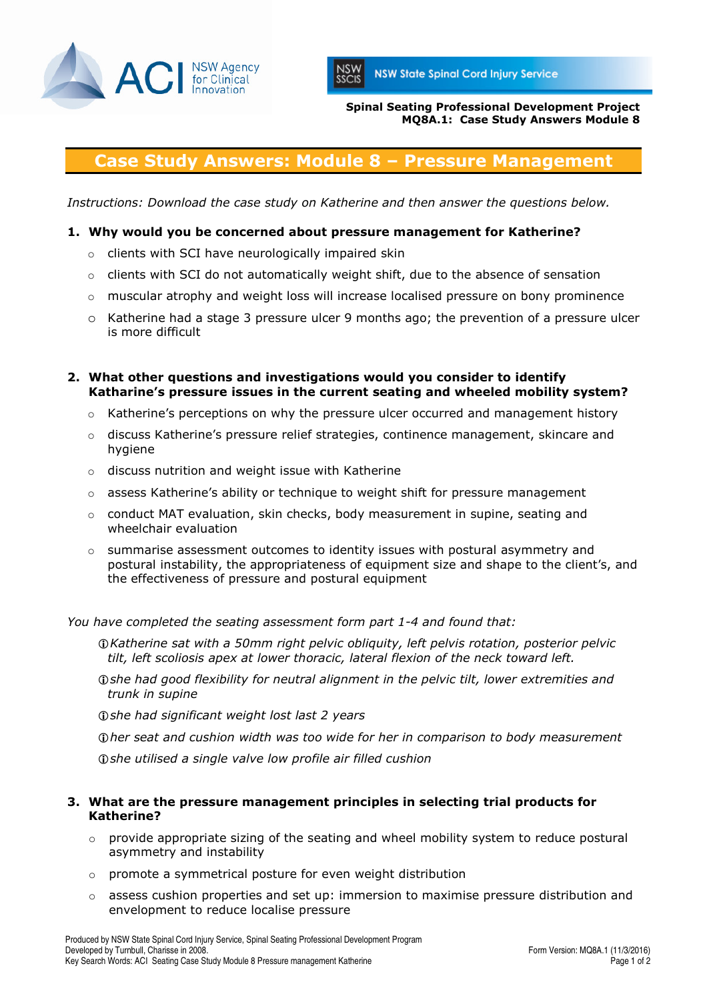



Spinal Seating Professional Development Project MQ8A.1: Case Study Answers Module 8

# Case Study Answers: Module 8 – Pressure Management

Instructions: Download the case study on Katherine and then answer the questions below.

#### 1. Why would you be concerned about pressure management for Katherine?

- o clients with SCI have neurologically impaired skin
- $\circ$  clients with SCI do not automatically weight shift, due to the absence of sensation
- $\circ$  muscular atrophy and weight loss will increase localised pressure on bony prominence
- o Katherine had a stage 3 pressure ulcer 9 months ago; the prevention of a pressure ulcer is more difficult
- 2. What other questions and investigations would you consider to identify Katharine's pressure issues in the current seating and wheeled mobility system?
	- $\circ$  Katherine's perceptions on why the pressure ulcer occurred and management history
	- $\circ$  discuss Katherine's pressure relief strategies, continence management, skincare and hygiene
	- o discuss nutrition and weight issue with Katherine
	- $\circ$  assess Katherine's ability or technique to weight shift for pressure management
	- $\circ$  conduct MAT evaluation, skin checks, body measurement in supine, seating and wheelchair evaluation
	- $\circ$  summarise assessment outcomes to identity issues with postural asymmetry and postural instability, the appropriateness of equipment size and shape to the client's, and the effectiveness of pressure and postural equipment

You have completed the seating assessment form part 1-4 and found that:

- Katherine sat with a 50mm right pelvic obliquity, left pelvis rotation, posterior pelvic tilt, left scoliosis apex at lower thoracic, lateral flexion of the neck toward left.
- she had good flexibility for neutral alignment in the pelvic tilt, lower extremities and trunk in supine

**O**she had significant weight lost last 2 years

her seat and cushion width was too wide for her in comparison to body measurement

**Oshe utilised a single valve low profile air filled cushion** 

#### 3. What are the pressure management principles in selecting trial products for Katherine?

- o provide appropriate sizing of the seating and wheel mobility system to reduce postural asymmetry and instability
- o promote a symmetrical posture for even weight distribution
- $\circ$  assess cushion properties and set up: immersion to maximise pressure distribution and envelopment to reduce localise pressure